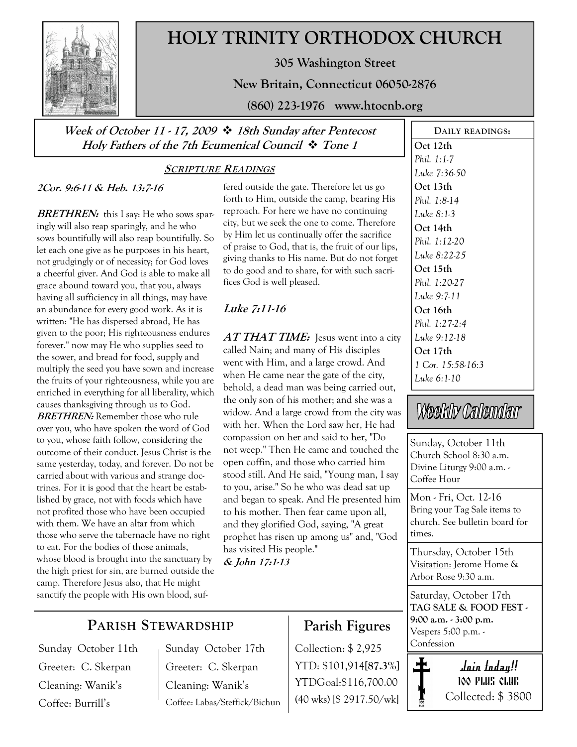

# HOLY TRINITY ORTHODOX CHURCH

305 Washington Street

New Britain, Connecticut 06050-2876

(860) 223-1976 www.htocnb.org

Week of October 11 - 17, 2009  $\div$  18th Sunday after Pentecost Holy Fathers of the 7th Ecumenical Council  $\cdot$  Tone 1

#### SCRIPTURE READINGS

#### 2Cor. 9:6-11 & Heb. 13:7-16

**BRETHREN:** this I say: He who sows sparingly will also reap sparingly, and he who sows bountifully will also reap bountifully. So let each one give as he purposes in his heart, not grudgingly or of necessity; for God loves a cheerful giver. And God is able to make all grace abound toward you, that you, always having all sufficiency in all things, may have an abundance for every good work. As it is written: "He has dispersed abroad, He has given to the poor; His righteousness endures forever." now may He who supplies seed to the sower, and bread for food, supply and multiply the seed you have sown and increase the fruits of your righteousness, while you are enriched in everything for all liberality, which causes thanksgiving through us to God. **BRETHREN:** Remember those who rule over you, who have spoken the word of God to you, whose faith follow, considering the outcome of their conduct. Jesus Christ is the same yesterday, today, and forever. Do not be carried about with various and strange doctrines. For it is good that the heart be established by grace, not with foods which have not profited those who have been occupied with them. We have an altar from which those who serve the tabernacle have no right to eat. For the bodies of those animals, whose blood is brought into the sanctuary by the high priest for sin, are burned outside the camp. Therefore Jesus also, that He might sanctify the people with His own blood, suffered outside the gate. Therefore let us go forth to Him, outside the camp, bearing His reproach. For here we have no continuing city, but we seek the one to come. Therefore by Him let us continually offer the sacrifice of praise to God, that is, the fruit of our lips, giving thanks to His name. But do not forget to do good and to share, for with such sacrifices God is well pleased.

#### Luke 7:11-16

 $ATTHAT TIME:$  Jesus went into a city called Nain; and many of His disciples went with Him, and a large crowd. And when He came near the gate of the city, behold, a dead man was being carried out, the only son of his mother; and she was a widow. And a large crowd from the city was with her. When the Lord saw her, He had compassion on her and said to her, "Do not weep." Then He came and touched the open coffin, and those who carried him stood still. And He said, "Young man, I say to you, arise." So he who was dead sat up and began to speak. And He presented him to his mother. Then fear came upon all, and they glorified God, saying, "A great prophet has risen up among us" and, "God has visited His people." & John 17:1-13

Oct 12th Phil. 1:1-7 Luke 7:36-50 Oct 13th Phil. 1:8-14 Luke 8:1-3 Oct 14th Phil. 1:12-20 Luke 8:22-25 Oct 15th Phil. 1:20-27 Luke 9:7-11 Oct 16th Phil. 1:27-2:4 Luke 9:12-18 Oct 17th 1 Cor. 15:58-16:3 Luke 6:1-10

DAILY READINGS:

# Weekly Calendar

Sunday, October 11th Church School 8:30 a.m. Divine Liturgy 9:00 a.m. - Coffee Hour

Mon - Fri, Oct. 12-16 Bring your Tag Sale items to church. See bulletin board for times.

Thursday, October 15th Visitation: Jerome Home & Arbor Rose 9:30 a.m.

Saturday, October 17th TAG SALE & FOOD FEST - 9:00 a.m. - 3:00 p.m. Vespers 5:00 p.m. -

> Join today!! 100 PLUS CLUB Collected: \$ 3800

## PARISH STEWARDSHIP

Sunday October 11th Greeter: C. Skerpan Cleaning: Wanik's Coffee: Burrill's

Sunday October 17th Greeter: C. Skerpan Cleaning: Wanik's Coffee: Labas/Steffick/Bichun

# Parish Figures

Collection: \$2,925 Confession YTD: \$101,914[87.3%] YTDGoal:\$116,700.00 (40 wks) [\$ 2917.50/wk]